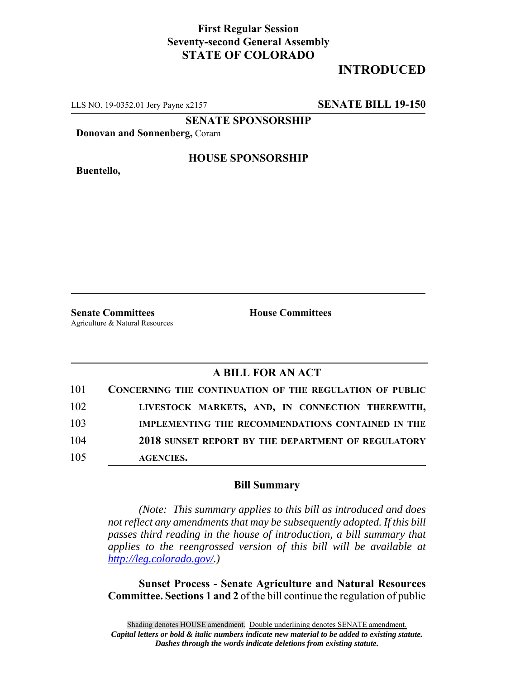## **First Regular Session Seventy-second General Assembly STATE OF COLORADO**

# **INTRODUCED**

LLS NO. 19-0352.01 Jery Payne x2157 **SENATE BILL 19-150**

**SENATE SPONSORSHIP**

**Donovan and Sonnenberg,** Coram

**Buentello,**

#### **HOUSE SPONSORSHIP**

**Senate Committees House Committees** Agriculture & Natural Resources

### **A BILL FOR AN ACT**

| 101 | CONCERNING THE CONTINUATION OF THE REGULATION OF PUBLIC |
|-----|---------------------------------------------------------|
| 102 | LIVESTOCK MARKETS, AND, IN CONNECTION THEREWITH,        |
| 103 | IMPLEMENTING THE RECOMMENDATIONS CONTAINED IN THE       |
| 104 | 2018 SUNSET REPORT BY THE DEPARTMENT OF REGULATORY      |
| 105 | <b>AGENCIES.</b>                                        |

#### **Bill Summary**

*(Note: This summary applies to this bill as introduced and does not reflect any amendments that may be subsequently adopted. If this bill passes third reading in the house of introduction, a bill summary that applies to the reengrossed version of this bill will be available at http://leg.colorado.gov/.)*

**Sunset Process - Senate Agriculture and Natural Resources Committee. Sections 1 and 2** of the bill continue the regulation of public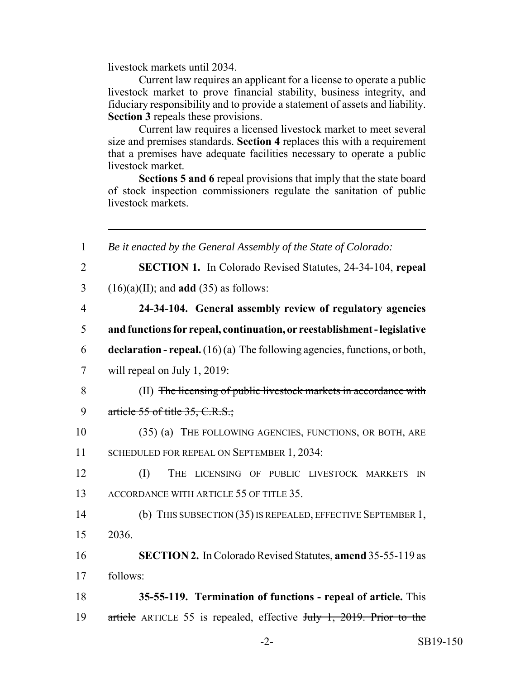livestock markets until 2034.

Current law requires an applicant for a license to operate a public livestock market to prove financial stability, business integrity, and fiduciary responsibility and to provide a statement of assets and liability. **Section 3** repeals these provisions.

Current law requires a licensed livestock market to meet several size and premises standards. **Section 4** replaces this with a requirement that a premises have adequate facilities necessary to operate a public livestock market.

**Sections 5 and 6** repeal provisions that imply that the state board of stock inspection commissioners regulate the sanitation of public livestock markets.

 *Be it enacted by the General Assembly of the State of Colorado:* **SECTION 1.** In Colorado Revised Statutes, 24-34-104, **repeal** (16)(a)(II); and **add** (35) as follows: **24-34-104. General assembly review of regulatory agencies and functions for repeal, continuation, or reestablishment - legislative declaration - repeal.** (16) (a) The following agencies, functions, or both, will repeal on July 1, 2019: (II) The licensing of public livestock markets in accordance with 9 article  $55$  of title  $35, C.R.S.$ ; (35) (a) THE FOLLOWING AGENCIES, FUNCTIONS, OR BOTH, ARE 11 SCHEDULED FOR REPEAL ON SEPTEMBER 1, 2034: (I) THE LICENSING OF PUBLIC LIVESTOCK MARKETS IN 13 ACCORDANCE WITH ARTICLE 55 OF TITLE 35. (b) THIS SUBSECTION (35) IS REPEALED, EFFECTIVE SEPTEMBER 1, 15 2036. **SECTION 2.** In Colorado Revised Statutes, **amend** 35-55-119 as 17 follows: **35-55-119. Termination of functions - repeal of article.** This 19 article ARTICLE 55 is repealed, effective July 1, 2019. Prior to the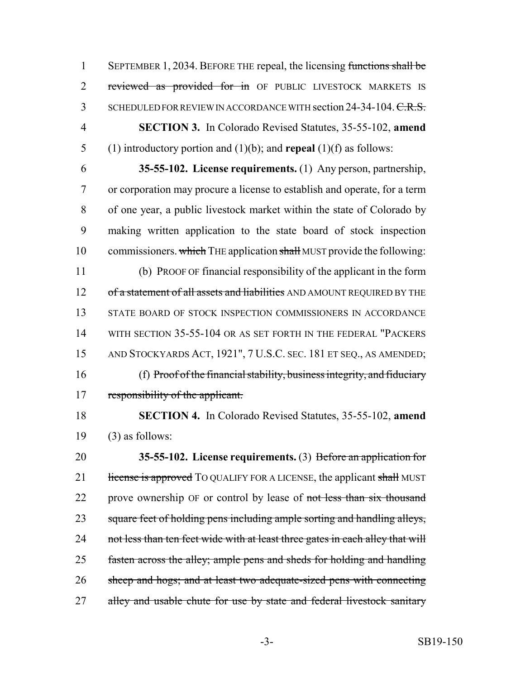1 SEPTEMBER 1, 2034. BEFORE THE repeal, the licensing functions shall be 2 reviewed as provided for in OF PUBLIC LIVESTOCK MARKETS IS 3 SCHEDULED FOR REVIEW IN ACCORDANCE WITH section 24-34-104. C.R.S. 4 **SECTION 3.** In Colorado Revised Statutes, 35-55-102, **amend** 5 (1) introductory portion and (1)(b); and **repeal** (1)(f) as follows:

 **35-55-102. License requirements.** (1) Any person, partnership, or corporation may procure a license to establish and operate, for a term of one year, a public livestock market within the state of Colorado by making written application to the state board of stock inspection 10 commissioners. which THE application shall MUST provide the following: (b) PROOF OF financial responsibility of the applicant in the form

12 of a statement of all assets and liabilities AND AMOUNT REQUIRED BY THE 13 STATE BOARD OF STOCK INSPECTION COMMISSIONERS IN ACCORDANCE 14 WITH SECTION 35-55-104 OR AS SET FORTH IN THE FEDERAL "PACKERS" 15 AND STOCKYARDS ACT, 1921", 7 U.S.C. SEC. 181 ET SEQ., AS AMENDED; 16 (f) Proof of the financial stability, business integrity, and fiduciary 17 responsibility of the applicant.

18 **SECTION 4.** In Colorado Revised Statutes, 35-55-102, **amend** 19  $(3)$  as follows:

20 **35-55-102. License requirements.** (3) Before an application for 21 license is approved TO QUALIFY FOR A LICENSE, the applicant shall MUST 22 prove ownership OF or control by lease of not less than six thousand 23 square feet of holding pens including ample sorting and handling alleys, 24 not less than ten feet wide with at least three gates in each alley that will 25 fasten across the alley; ample pens and sheds for holding and handling 26 sheep and hogs; and at least two adequate-sized pens with connecting 27 alley and usable chute for use by state and federal livestock sanitary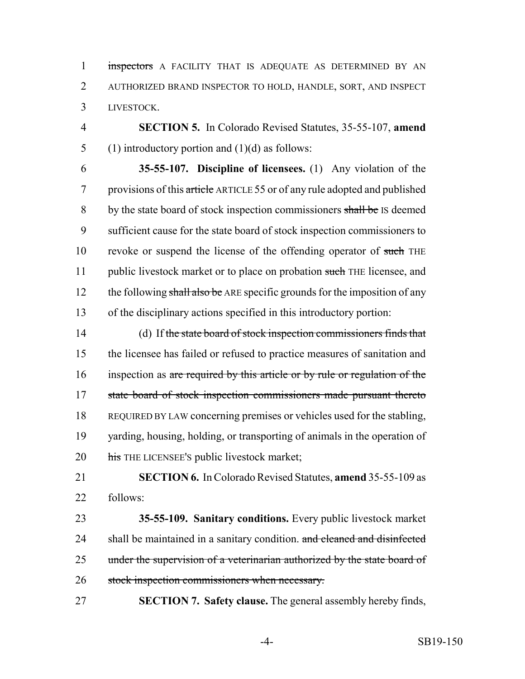1 inspectors A FACILITY THAT IS ADEQUATE AS DETERMINED BY AN AUTHORIZED BRAND INSPECTOR TO HOLD, HANDLE, SORT, AND INSPECT LIVESTOCK.

 **SECTION 5.** In Colorado Revised Statutes, 35-55-107, **amend** 5 (1) introductory portion and  $(1)(d)$  as follows:

 **35-55-107. Discipline of licensees.** (1) Any violation of the provisions of this article ARTICLE 55 or of any rule adopted and published 8 by the state board of stock inspection commissioners shall be IS deemed sufficient cause for the state board of stock inspection commissioners to 10 revoke or suspend the license of the offending operator of such THE 11 public livestock market or to place on probation such THE licensee, and 12 the following shall also be ARE specific grounds for the imposition of any of the disciplinary actions specified in this introductory portion:

14 (d) If the state board of stock inspection commissioners finds that the licensee has failed or refused to practice measures of sanitation and inspection as are required by this article or by rule or regulation of the state board of stock inspection commissioners made pursuant thereto REQUIRED BY LAW concerning premises or vehicles used for the stabling, yarding, housing, holding, or transporting of animals in the operation of 20 his THE LICENSEE's public livestock market;

 **SECTION 6.** In Colorado Revised Statutes, **amend** 35-55-109 as follows:

 **35-55-109. Sanitary conditions.** Every public livestock market 24 shall be maintained in a sanitary condition. and cleaned and disinfected 25 under the supervision of a veterinarian authorized by the state board of stock inspection commissioners when necessary.

**SECTION 7. Safety clause.** The general assembly hereby finds,